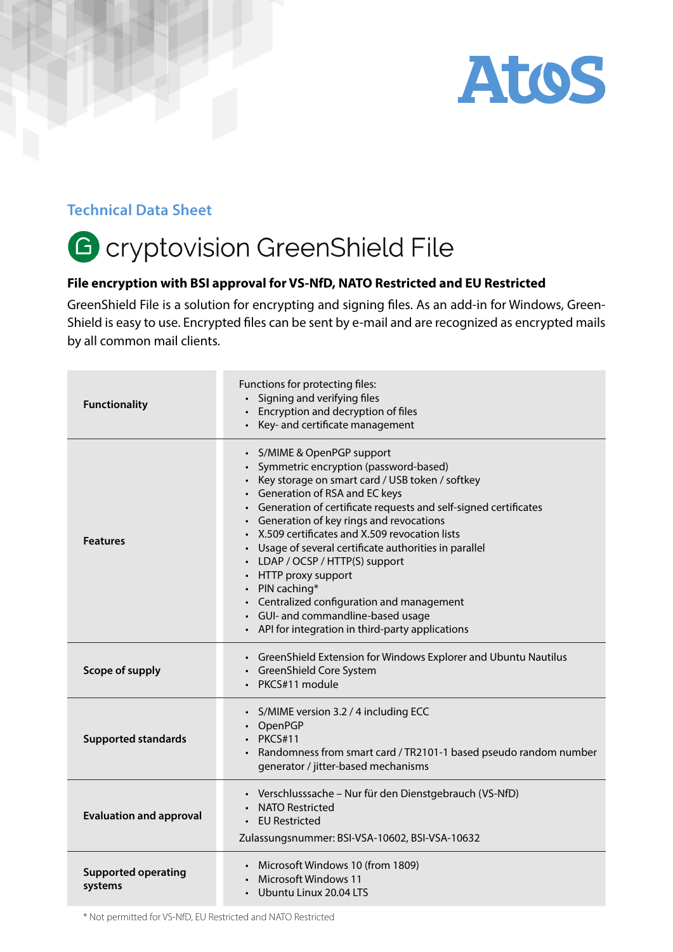

## **Technical Data Sheet**

## G cryptovision GreenShield File

## **File encryption with BSI approval for VS-NfD, NATO Restricted and EU Restricted**

GreenShield File is a solution for encrypting and signing files. As an add-in for Windows, Green-Shield is easy to use. Encrypted files can be sent by e-mail and are recognized as encrypted mails by all common mail clients.

| <b>Functionality</b>                  | Functions for protecting files:<br>• Signing and verifying files<br>Encryption and decryption of files<br>• Key- and certificate management                                                                                                                                                                                                                                                                                                                                                                                                                                                                      |
|---------------------------------------|------------------------------------------------------------------------------------------------------------------------------------------------------------------------------------------------------------------------------------------------------------------------------------------------------------------------------------------------------------------------------------------------------------------------------------------------------------------------------------------------------------------------------------------------------------------------------------------------------------------|
| <b>Features</b>                       | · S/MIME & OpenPGP support<br>Symmetric encryption (password-based)<br>• Key storage on smart card / USB token / softkey<br>• Generation of RSA and EC keys<br>• Generation of certificate requests and self-signed certificates<br>• Generation of key rings and revocations<br>• X.509 certificates and X.509 revocation lists<br>• Usage of several certificate authorities in parallel<br>• LDAP / OCSP / HTTP(S) support<br>• HTTP proxy support<br>• PIN caching*<br>• Centralized configuration and management<br>• GUI- and commandline-based usage<br>• API for integration in third-party applications |
| Scope of supply                       | • GreenShield Extension for Windows Explorer and Ubuntu Nautilus<br>• GreenShield Core System<br>PKCS#11 module                                                                                                                                                                                                                                                                                                                                                                                                                                                                                                  |
| <b>Supported standards</b>            | • S/MIME version 3.2 / 4 including ECC<br>• OpenPGP<br><b>PKCS#11</b><br>Randomness from smart card / TR2101-1 based pseudo random number<br>generator / jitter-based mechanisms                                                                                                                                                                                                                                                                                                                                                                                                                                 |
| <b>Evaluation and approval</b>        | · Verschlusssache - Nur für den Dienstgebrauch (VS-NfD)<br><b>NATO Restricted</b><br><b>EU Restricted</b><br>Zulassungsnummer: BSI-VSA-10602, BSI-VSA-10632                                                                                                                                                                                                                                                                                                                                                                                                                                                      |
| <b>Supported operating</b><br>systems | • Microsoft Windows 10 (from 1809)<br>Microsoft Windows 11<br>Ubuntu Linux 20.04 LTS                                                                                                                                                                                                                                                                                                                                                                                                                                                                                                                             |

\* Not permitted for VS-NfD, EU Restricted and NATO Restricted